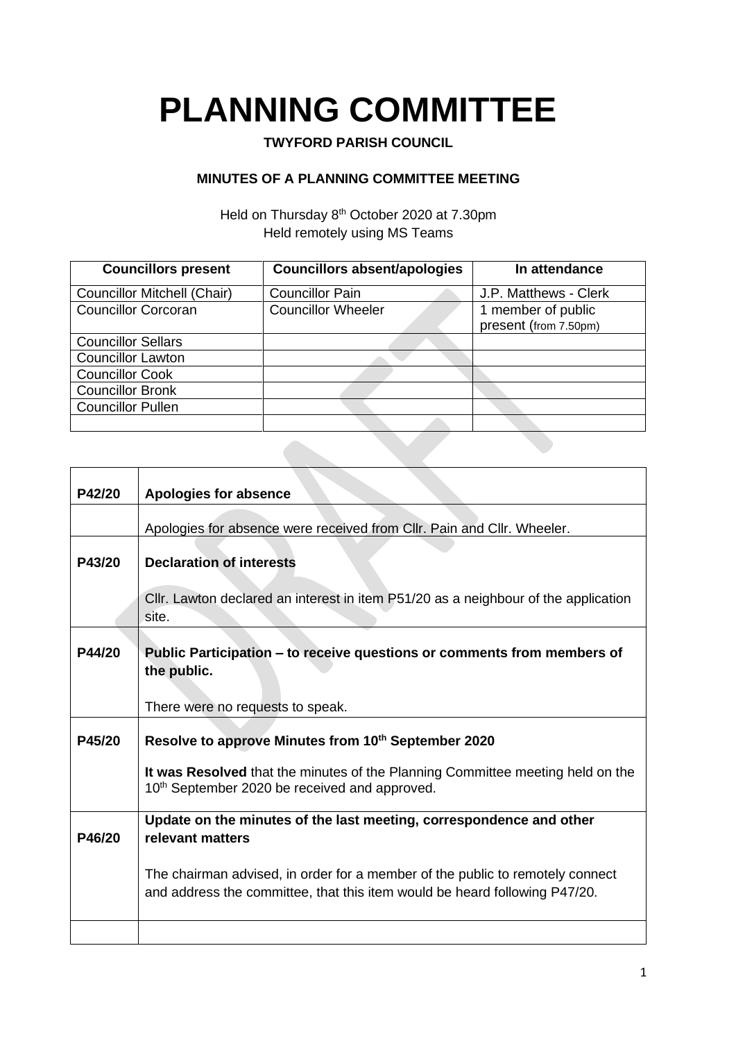## **PLANNING COMMITTEE**

## **TWYFORD PARISH COUNCIL**

## **MINUTES OF A PLANNING COMMITTEE MEETING**

Held on Thursday 8<sup>th</sup> October 2020 at 7.30pm Held remotely using MS Teams

| <b>Councillors present</b>         | <b>Councillors absent/apologies</b> | In attendance                               |
|------------------------------------|-------------------------------------|---------------------------------------------|
| <b>Councillor Mitchell (Chair)</b> | <b>Councillor Pain</b>              | J.P. Matthews - Clerk                       |
| <b>Councillor Corcoran</b>         | <b>Councillor Wheeler</b>           | 1 member of public<br>present (from 7.50pm) |
| <b>Councillor Sellars</b>          |                                     |                                             |
| <b>Councillor Lawton</b>           |                                     |                                             |
| <b>Councillor Cook</b>             |                                     |                                             |
| <b>Councillor Bronk</b>            |                                     |                                             |
| <b>Councillor Pullen</b>           |                                     |                                             |
|                                    |                                     |                                             |

| P42/20        | <b>Apologies for absence</b>                                                       |
|---------------|------------------------------------------------------------------------------------|
|               |                                                                                    |
|               | Apologies for absence were received from CIIr. Pain and CIIr. Wheeler.             |
| P43/20        | <b>Declaration of interests</b>                                                    |
|               |                                                                                    |
|               | Cllr. Lawton declared an interest in item P51/20 as a neighbour of the application |
|               | site.                                                                              |
|               |                                                                                    |
| P44/20        | Public Participation – to receive questions or comments from members of            |
|               | the public.                                                                        |
|               |                                                                                    |
|               | There were no requests to speak.                                                   |
|               |                                                                                    |
| <b>P45/20</b> | Resolve to approve Minutes from 10th September 2020                                |
|               | It was Resolved that the minutes of the Planning Committee meeting held on the     |
|               | 10 <sup>th</sup> September 2020 be received and approved.                          |
|               |                                                                                    |
|               | Update on the minutes of the last meeting, correspondence and other                |
| P46/20        | relevant matters                                                                   |
|               |                                                                                    |
|               | The chairman advised, in order for a member of the public to remotely connect      |
|               | and address the committee, that this item would be heard following P47/20.         |
|               |                                                                                    |
|               |                                                                                    |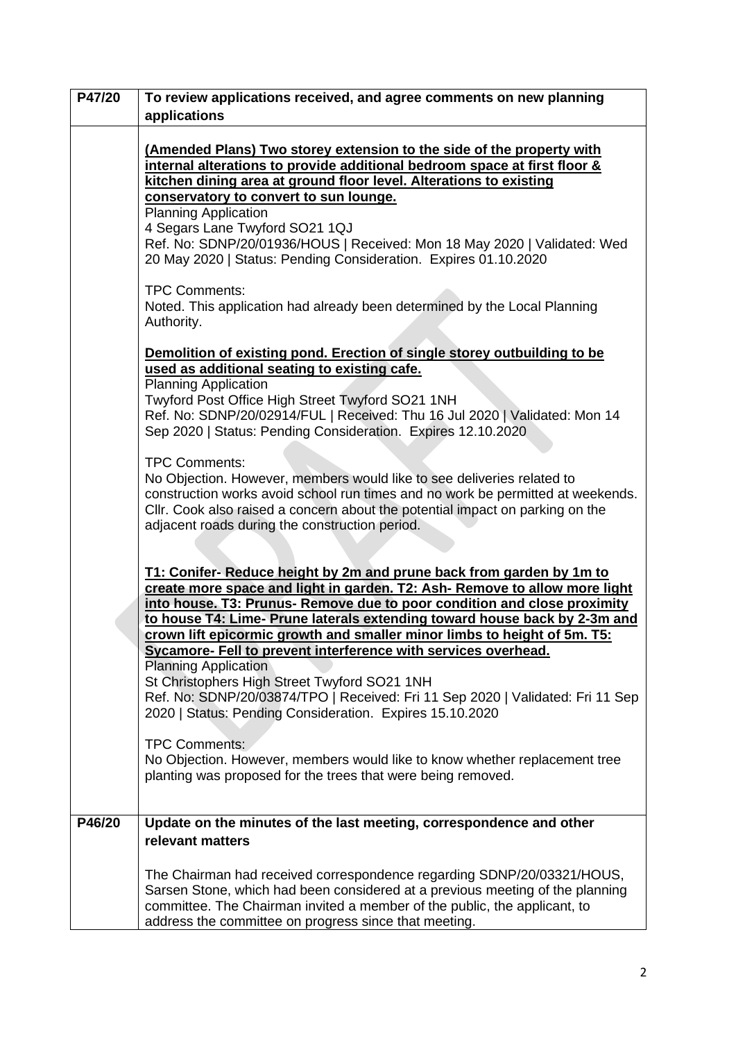| P47/20 | To review applications received, and agree comments on new planning                                                                                                                                                                                                                                                                                                                                                                                                                                                                                                                                                        |
|--------|----------------------------------------------------------------------------------------------------------------------------------------------------------------------------------------------------------------------------------------------------------------------------------------------------------------------------------------------------------------------------------------------------------------------------------------------------------------------------------------------------------------------------------------------------------------------------------------------------------------------------|
|        | applications                                                                                                                                                                                                                                                                                                                                                                                                                                                                                                                                                                                                               |
|        | (Amended Plans) Two storey extension to the side of the property with<br>internal alterations to provide additional bedroom space at first floor &<br>kitchen dining area at ground floor level. Alterations to existing<br>conservatory to convert to sun lounge.<br><b>Planning Application</b><br>4 Segars Lane Twyford SO21 1QJ<br>Ref. No: SDNP/20/01936/HOUS   Received: Mon 18 May 2020   Validated: Wed<br>20 May 2020   Status: Pending Consideration. Expires 01.10.2020                                                                                                                                         |
|        | <b>TPC Comments:</b><br>Noted. This application had already been determined by the Local Planning<br>Authority.                                                                                                                                                                                                                                                                                                                                                                                                                                                                                                            |
|        | Demolition of existing pond. Erection of single storey outbuilding to be<br>used as additional seating to existing cafe.<br><b>Planning Application</b><br>Twyford Post Office High Street Twyford SO21 1NH<br>Ref. No: SDNP/20/02914/FUL   Received: Thu 16 Jul 2020   Validated: Mon 14<br>Sep 2020   Status: Pending Consideration. Expires 12.10.2020                                                                                                                                                                                                                                                                  |
|        | <b>TPC Comments:</b><br>No Objection. However, members would like to see deliveries related to<br>construction works avoid school run times and no work be permitted at weekends.<br>Cllr. Cook also raised a concern about the potential impact on parking on the<br>adjacent roads during the construction period.                                                                                                                                                                                                                                                                                                       |
|        | T1: Conifer- Reduce height by 2m and prune back from garden by 1m to<br>create more space and light in garden. T2: Ash- Remove to allow more light<br>into house. T3: Prunus- Remove due to poor condition and close proximity<br>to house T4: Lime- Prune laterals extending toward house back by 2-3m and<br>crown lift epicormic growth and smaller minor limbs to height of 5m. T5:<br>Sycamore- Fell to prevent interference with services overhead.<br><b>Planning Application</b><br>St Christophers High Street Twyford SO21 1NH<br>Ref. No: SDNP/20/03874/TPO   Received: Fri 11 Sep 2020   Validated: Fri 11 Sep |
|        | 2020   Status: Pending Consideration. Expires 15.10.2020<br><b>TPC Comments:</b><br>No Objection. However, members would like to know whether replacement tree<br>planting was proposed for the trees that were being removed.                                                                                                                                                                                                                                                                                                                                                                                             |
| P46/20 | Update on the minutes of the last meeting, correspondence and other                                                                                                                                                                                                                                                                                                                                                                                                                                                                                                                                                        |
|        | relevant matters                                                                                                                                                                                                                                                                                                                                                                                                                                                                                                                                                                                                           |
|        | The Chairman had received correspondence regarding SDNP/20/03321/HOUS,<br>Sarsen Stone, which had been considered at a previous meeting of the planning<br>committee. The Chairman invited a member of the public, the applicant, to<br>address the committee on progress since that meeting.                                                                                                                                                                                                                                                                                                                              |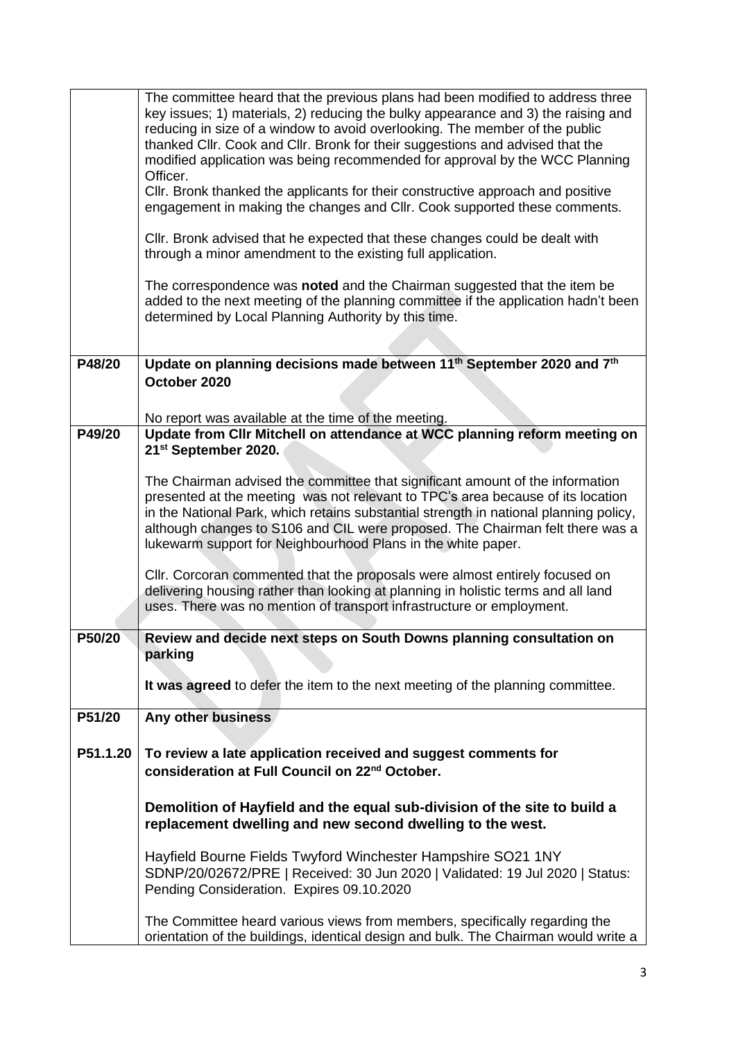|          | The committee heard that the previous plans had been modified to address three<br>key issues; 1) materials, 2) reducing the bulky appearance and 3) the raising and<br>reducing in size of a window to avoid overlooking. The member of the public<br>thanked Cllr. Cook and Cllr. Bronk for their suggestions and advised that the<br>modified application was being recommended for approval by the WCC Planning<br>Officer.<br>CIIr. Bronk thanked the applicants for their constructive approach and positive |
|----------|-------------------------------------------------------------------------------------------------------------------------------------------------------------------------------------------------------------------------------------------------------------------------------------------------------------------------------------------------------------------------------------------------------------------------------------------------------------------------------------------------------------------|
|          | engagement in making the changes and Cllr. Cook supported these comments.                                                                                                                                                                                                                                                                                                                                                                                                                                         |
|          | Cllr. Bronk advised that he expected that these changes could be dealt with<br>through a minor amendment to the existing full application.                                                                                                                                                                                                                                                                                                                                                                        |
|          | The correspondence was noted and the Chairman suggested that the item be<br>added to the next meeting of the planning committee if the application hadn't been<br>determined by Local Planning Authority by this time.                                                                                                                                                                                                                                                                                            |
|          |                                                                                                                                                                                                                                                                                                                                                                                                                                                                                                                   |
| P48/20   | Update on planning decisions made between 11 <sup>th</sup> September 2020 and 7 <sup>th</sup><br>October 2020                                                                                                                                                                                                                                                                                                                                                                                                     |
|          | No report was available at the time of the meeting.                                                                                                                                                                                                                                                                                                                                                                                                                                                               |
| P49/20   | Update from Cllr Mitchell on attendance at WCC planning reform meeting on<br>21st September 2020.                                                                                                                                                                                                                                                                                                                                                                                                                 |
|          | The Chairman advised the committee that significant amount of the information<br>presented at the meeting was not relevant to TPC's area because of its location<br>in the National Park, which retains substantial strength in national planning policy,<br>although changes to S106 and CIL were proposed. The Chairman felt there was a<br>lukewarm support for Neighbourhood Plans in the white paper.                                                                                                        |
|          | CIIr. Corcoran commented that the proposals were almost entirely focused on<br>delivering housing rather than looking at planning in holistic terms and all land<br>uses. There was no mention of transport infrastructure or employment.                                                                                                                                                                                                                                                                         |
| P50/20   | Review and decide next steps on South Downs planning consultation on<br>parking                                                                                                                                                                                                                                                                                                                                                                                                                                   |
|          | It was agreed to defer the item to the next meeting of the planning committee.                                                                                                                                                                                                                                                                                                                                                                                                                                    |
| P51/20   | Any other business                                                                                                                                                                                                                                                                                                                                                                                                                                                                                                |
| P51.1.20 | To review a late application received and suggest comments for<br>consideration at Full Council on 22 <sup>nd</sup> October.                                                                                                                                                                                                                                                                                                                                                                                      |
|          | Demolition of Hayfield and the equal sub-division of the site to build a<br>replacement dwelling and new second dwelling to the west.                                                                                                                                                                                                                                                                                                                                                                             |
|          | Hayfield Bourne Fields Twyford Winchester Hampshire SO21 1NY<br>SDNP/20/02672/PRE   Received: 30 Jun 2020   Validated: 19 Jul 2020   Status:<br>Pending Consideration. Expires 09.10.2020                                                                                                                                                                                                                                                                                                                         |
|          | The Committee heard various views from members, specifically regarding the<br>orientation of the buildings, identical design and bulk. The Chairman would write a                                                                                                                                                                                                                                                                                                                                                 |